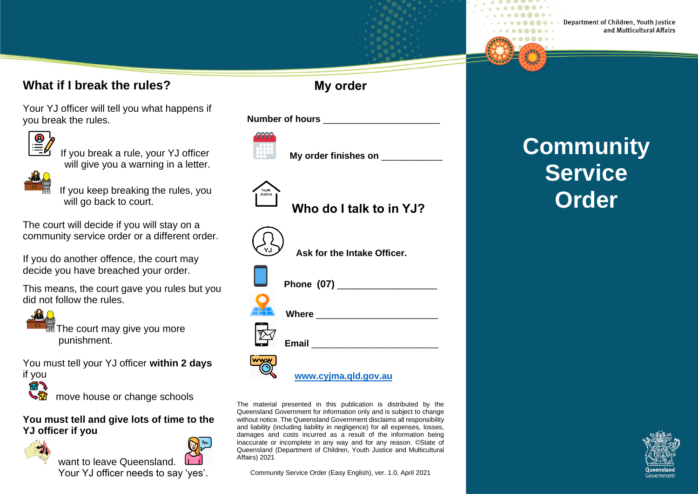#### **What if I break the rules?**

Your YJ officer will tell you what happens if you break the rules.



IF you break a rule, your YJ officer will give you a warning in a letter.



 If you keep breaking the rules, you will go back to court.

The court will decide if you will stay on a community service order or a different order.

If you do another offence, the court may decide you have breached your order.

This means, the court gave you rules but you did not follow the rules.



The court may give you more punishment.

You must tell your YJ officer **within 2 days**



move house or change schools

**You must tell and give lots of time to the YJ officer if you**



want to leave Queensland Your YJ officer needs to say 'yes'.

### **My order**

**Number of hours** \_\_\_\_\_\_\_\_\_\_\_\_\_\_\_\_\_\_\_\_\_\_\_



**My order finishes on** 

 **Who do I talk to in YJ?**



| Ask for the Intake Officer. |
|-----------------------------|
| Phone (07) _______          |
| <b>Where</b>                |
| <b>Email</b>                |
|                             |

**[www.cyjma.qld.gov.au](http://www.cyjma.qld.gov.au/)**

The material presented in this publication is distributed by the Queensland Government for information only and is subject to change without notice. The Queensland Government disclaims all responsibility and liability (including liability in negligence) for all expenses, losses, damages and costs incurred as a result of the information being inaccurate or incomplete in any way and for any reason. ©State of Queensland (Department of Children, Youth Justice and Multicultural Affairs) 2021

Community Service Order (Easy English), ver. 1.0, April 2021

# **Community Service Order**